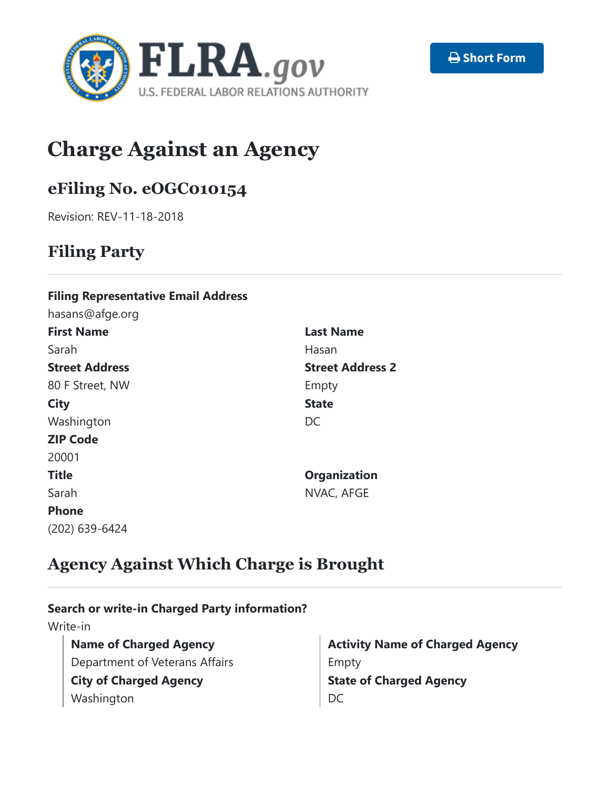



# **Charge Against an Agency**

# **eFiling No. eOGC010154**

Revision: REV-11-18-2018

## **Filing Party**

#### **Filing Representative Email Address**

hasans@afge.org **First Name** Sarah **Street Address** 80 F Street, NW **City** Washington **ZIP Code** 20001 **Title** Sarah **Phone** (202) 639-6424

**Last Name** Hasan **Street Address 2** Empty **State** DC **Organization**

NVAC, AFGE

# **Agency Against Which Charge is Brought**

#### **Search or write-in Charged Party information?**

Write-in

**Name of Charged Agency** Department of Veterans Affairs **City of Charged Agency** Washington

**Activity Name of Charged Agency** Empty **State of Charged Agency** DC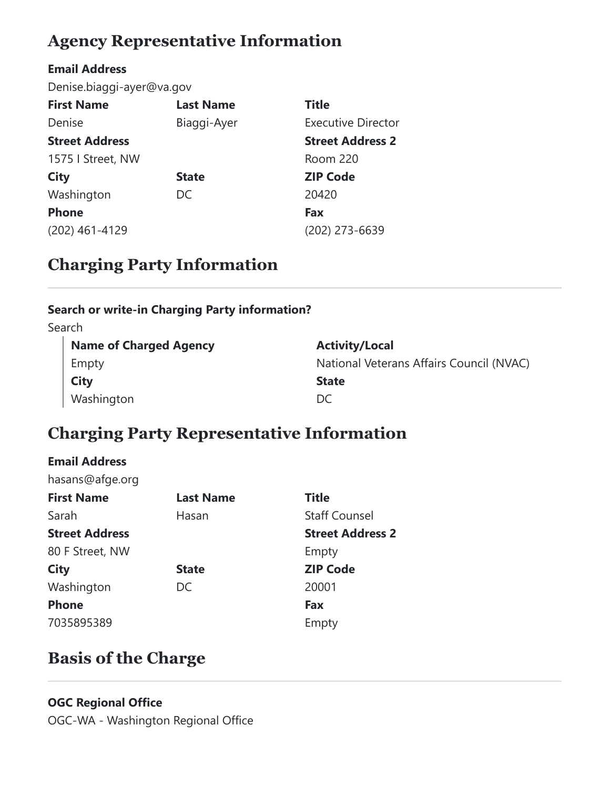# **Agency Representative Information**

#### **Email Address**

Denise.biaggi-ayer@va.gov

| <b>First Name</b>     | <b>Last Name</b> | <b>Title</b>              |
|-----------------------|------------------|---------------------------|
| Denise                | Biaggi-Ayer      | <b>Executive Director</b> |
| <b>Street Address</b> |                  | <b>Street Address 2</b>   |
| 1575   Street, NW     |                  | Room 220                  |
| <b>City</b>           | <b>State</b>     | <b>ZIP Code</b>           |
| Washington            | DC               | 20420                     |
| <b>Phone</b>          |                  | Fax                       |
| (202) 461-4129        |                  | (202) 273-6639            |

# **Charging Party Information**

#### **Search or write-in Charging Party information?**

Search

| <b>Name of Charged Agency</b> | <b>Activity/Local</b>                    |
|-------------------------------|------------------------------------------|
| Empty                         | National Veterans Affairs Council (NVAC) |
| City                          | <b>State</b>                             |
| Washington                    | DC                                       |

# **Charging Party Representative Information**

#### **Email Address**

hasans@afge.org

| <b>Last Name</b> | <b>Title</b>            |
|------------------|-------------------------|
| Hasan            | <b>Staff Counsel</b>    |
|                  | <b>Street Address 2</b> |
|                  | Empty                   |
| <b>State</b>     | <b>ZIP Code</b>         |
| DC.              | 20001                   |
|                  | Fax                     |
|                  | Empty                   |
|                  |                         |

# **Basis of the Charge**

#### **OGC Regional Office**

OGC-WA - Washington Regional Office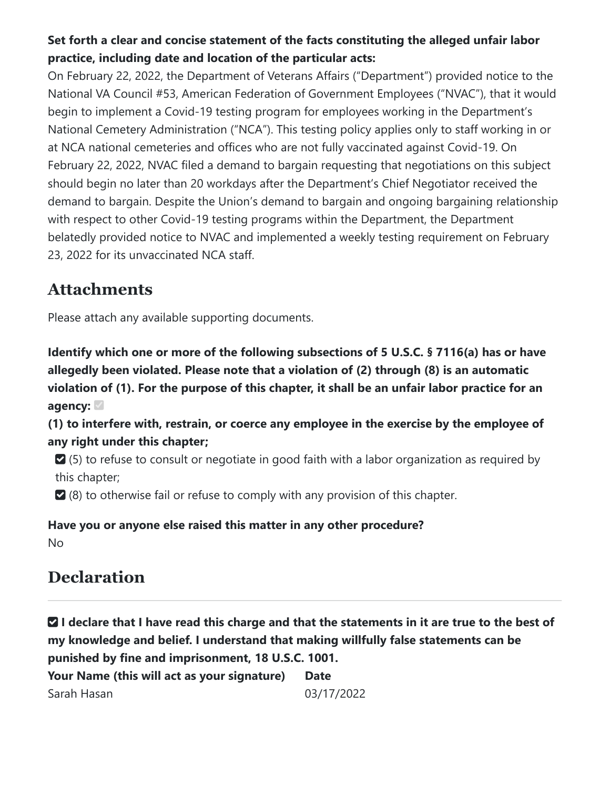#### **Set forth a clear and concise statement of the facts constituting the alleged unfair labor practice, including date and location of the particular acts:**

On February 22, 2022, the Department of Veterans Affairs ("Department") provided notice to the National VA Council #53, American Federation of Government Employees ("NVAC"), that it would begin to implement a Covid-19 testing program for employees working in the Department's National Cemetery Administration ("NCA"). This testing policy applies only to staff working in or at NCA national cemeteries and offices who are not fully vaccinated against Covid-19. On February 22, 2022, NVAC filed a demand to bargain requesting that negotiations on this subject should begin no later than 20 workdays after the Department's Chief Negotiator received the demand to bargain. Despite the Union's demand to bargain and ongoing bargaining relationship with respect to other Covid-19 testing programs within the Department, the Department belatedly provided notice to NVAC and implemented a weekly testing requirement on February 23, 2022 for its unvaccinated NCA staff.

#### **Attachments**

Please attach any available supporting documents.

**Identify which one or more of the following subsections of 5 U.S.C. § 7116(a) has or have allegedly been violated. Please note that a violation of (2) through (8) is an automatic violation of (1). For the purpose of this chapter, it shall be an unfair labor practice for an agency:**

**(1) to interfere with, restrain, or coerce any employee in the exercise by the employee of any right under this chapter;**

 (5) to refuse to consult or negotiate in good faith with a labor organization as required by this chapter;

(8) to otherwise fail or refuse to comply with any provision of this chapter.

#### **Have you or anyone else raised this matter in any other procedure?** No

### **Declaration**

 **I declare that I have read this charge and that the statements in it are true to the best of my knowledge and belief. I understand that making willfully false statements can be punished by fine and imprisonment, 18 U.S.C. 1001.**

**Your Name (this will act as your signature)** Sarah Hasan **Date** 03/17/2022